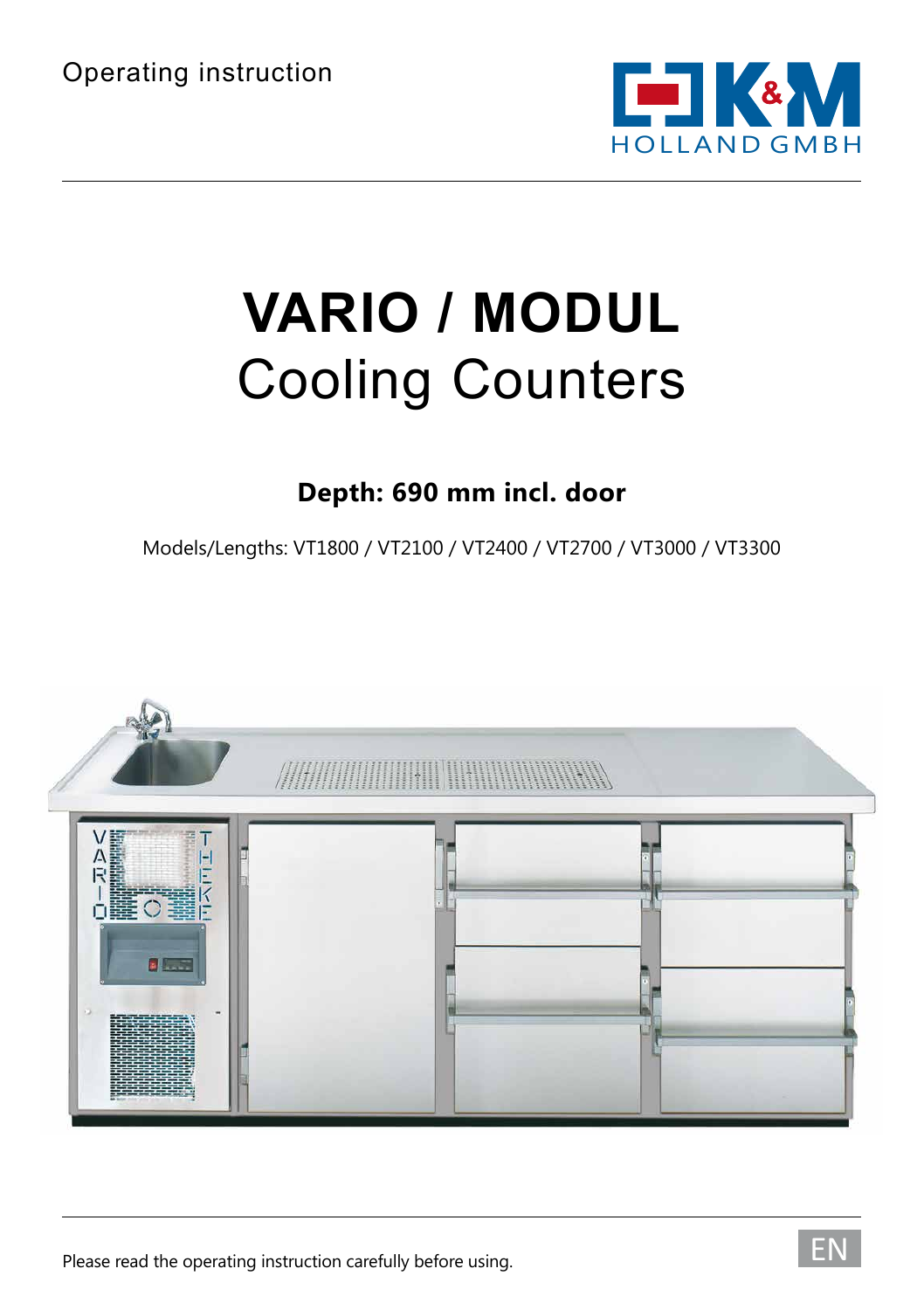

# **VARIO / MODUL** Cooling Counters

#### **Depth: 690 mm incl. door**

Models/Lengths: VT1800 / VT2100 / VT2400 / VT2700 / VT3000 / VT3300

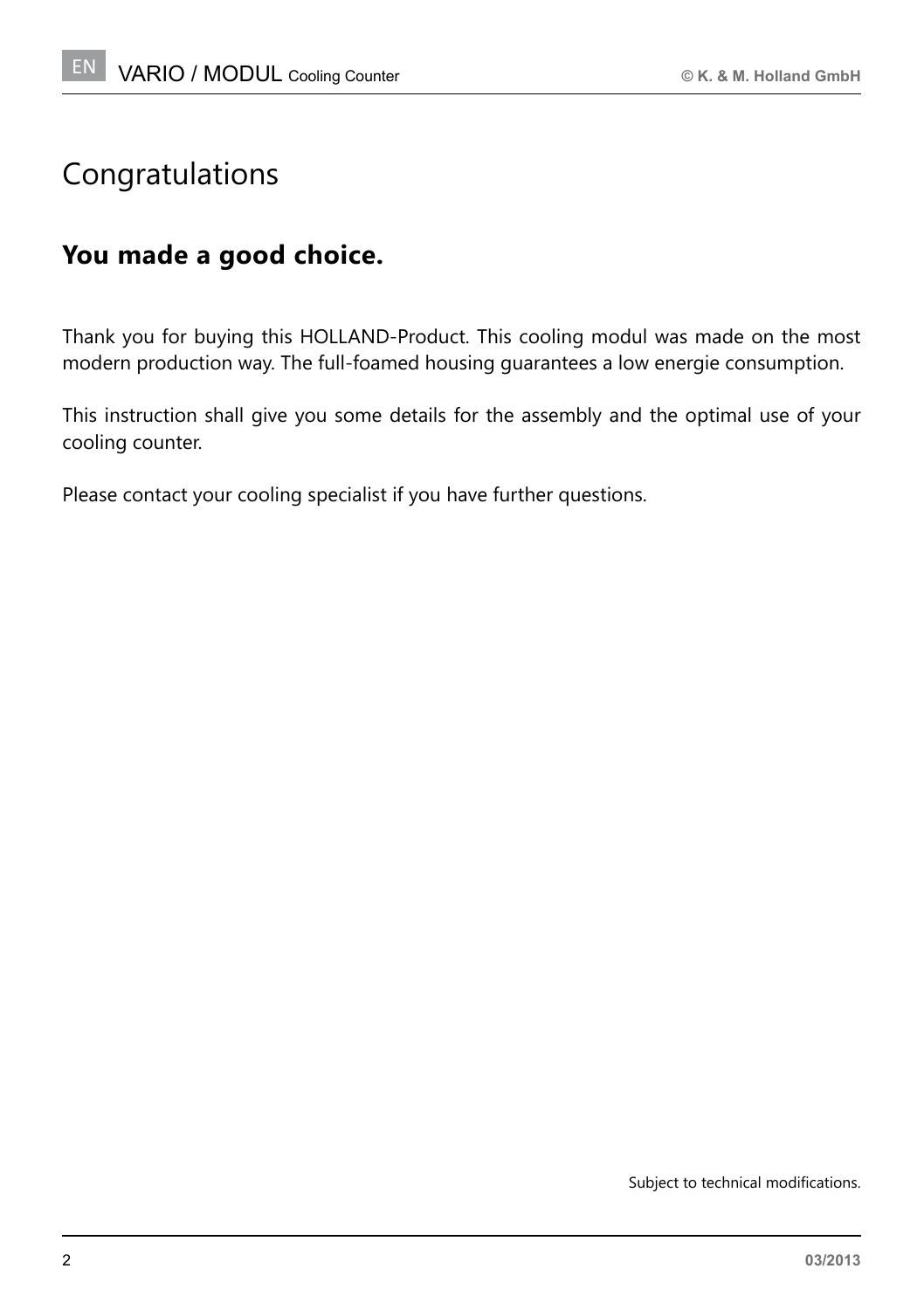#### Congratulations

#### **You made a good choice.**

Thank you for buying this HOLLAND-Product. This cooling modul was made on the most modern production way. The full-foamed housing guarantees a low energie consumption.

This instruction shall give you some details for the assembly and the optimal use of your cooling counter.

Please contact your cooling specialist if you have further questions.

Subject to technical modifications.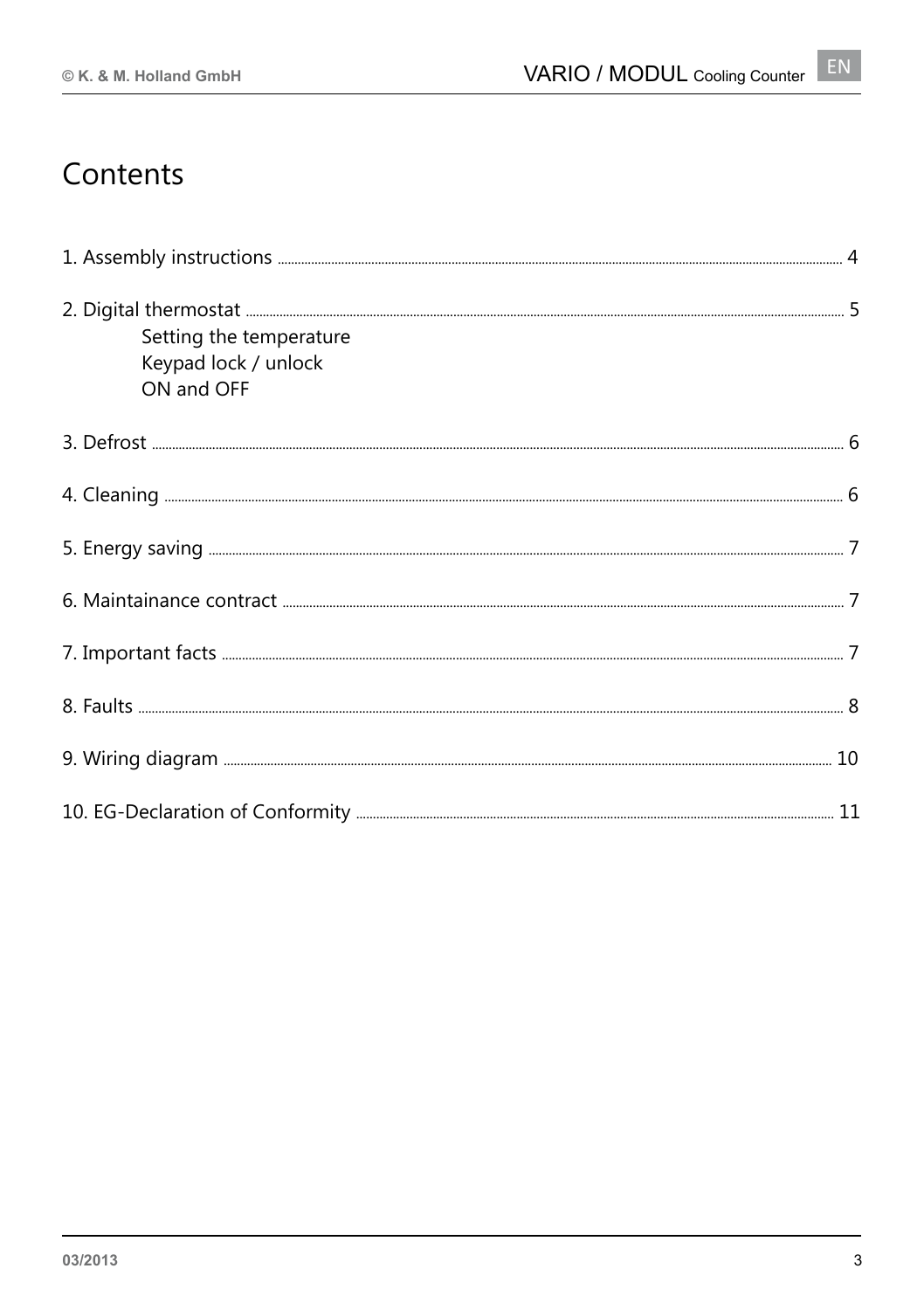## Contents

| Setting the temperature<br>Keypad lock / unlock<br>ON and OFF |  |
|---------------------------------------------------------------|--|
|                                                               |  |
|                                                               |  |
|                                                               |  |
|                                                               |  |
|                                                               |  |
|                                                               |  |
|                                                               |  |
|                                                               |  |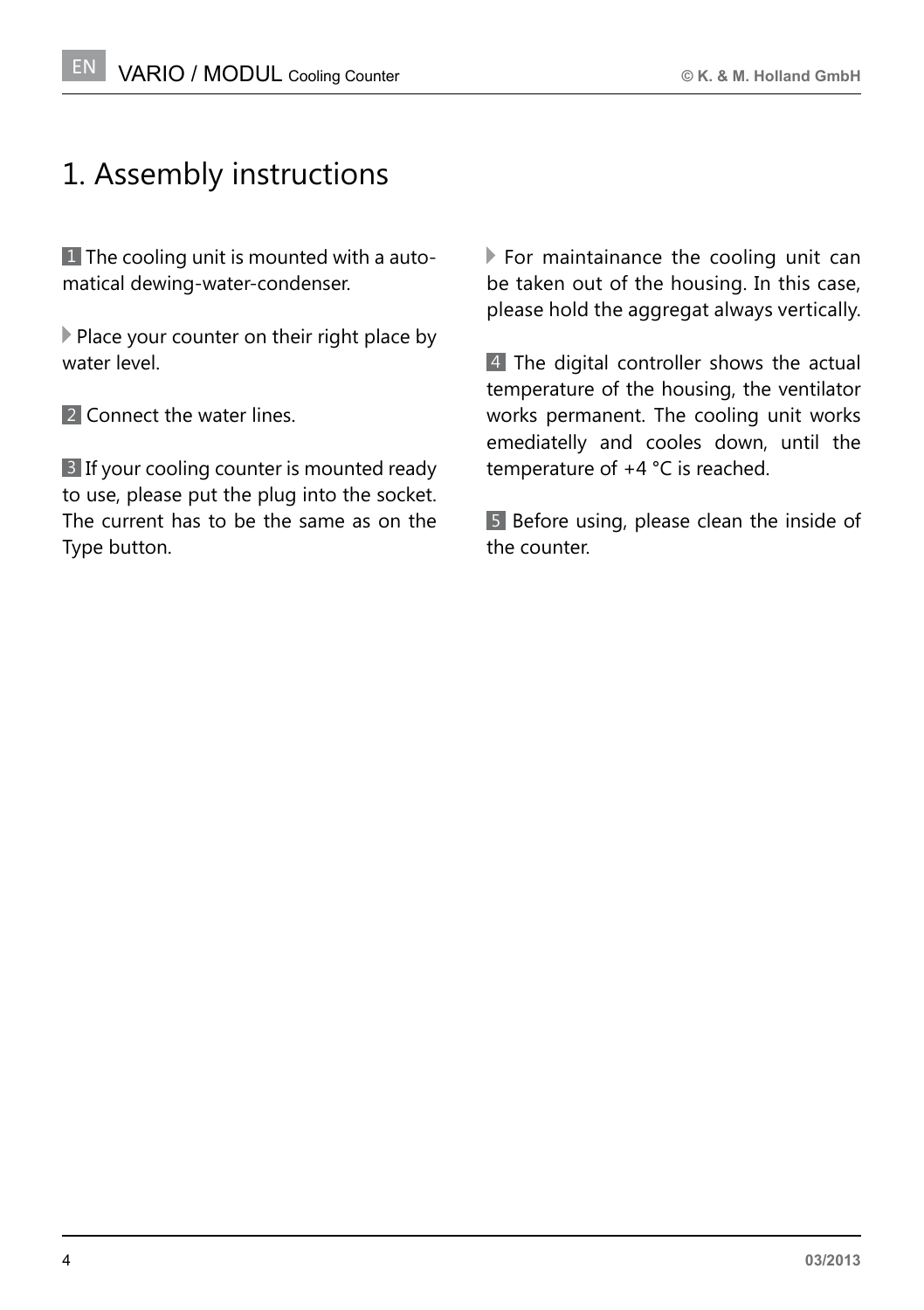## 1. Assembly instructions

1 The cooling unit is mounted with a automatical dewing-water-condenser.

Place your counter on their right place by water level.

2 Connect the water lines.

3 If your cooling counter is mounted ready to use, please put the plug into the socket. The current has to be the same as on the Type button.

 $\blacktriangleright$  For maintainance the cooling unit can be taken out of the housing. In this case, please hold the aggregat always vertically.

4 The digital controller shows the actual temperature of the housing, the ventilator works permanent. The cooling unit works emediatelly and cooles down, until the temperature of +4 °C is reached.

5 Before using, please clean the inside of the counter.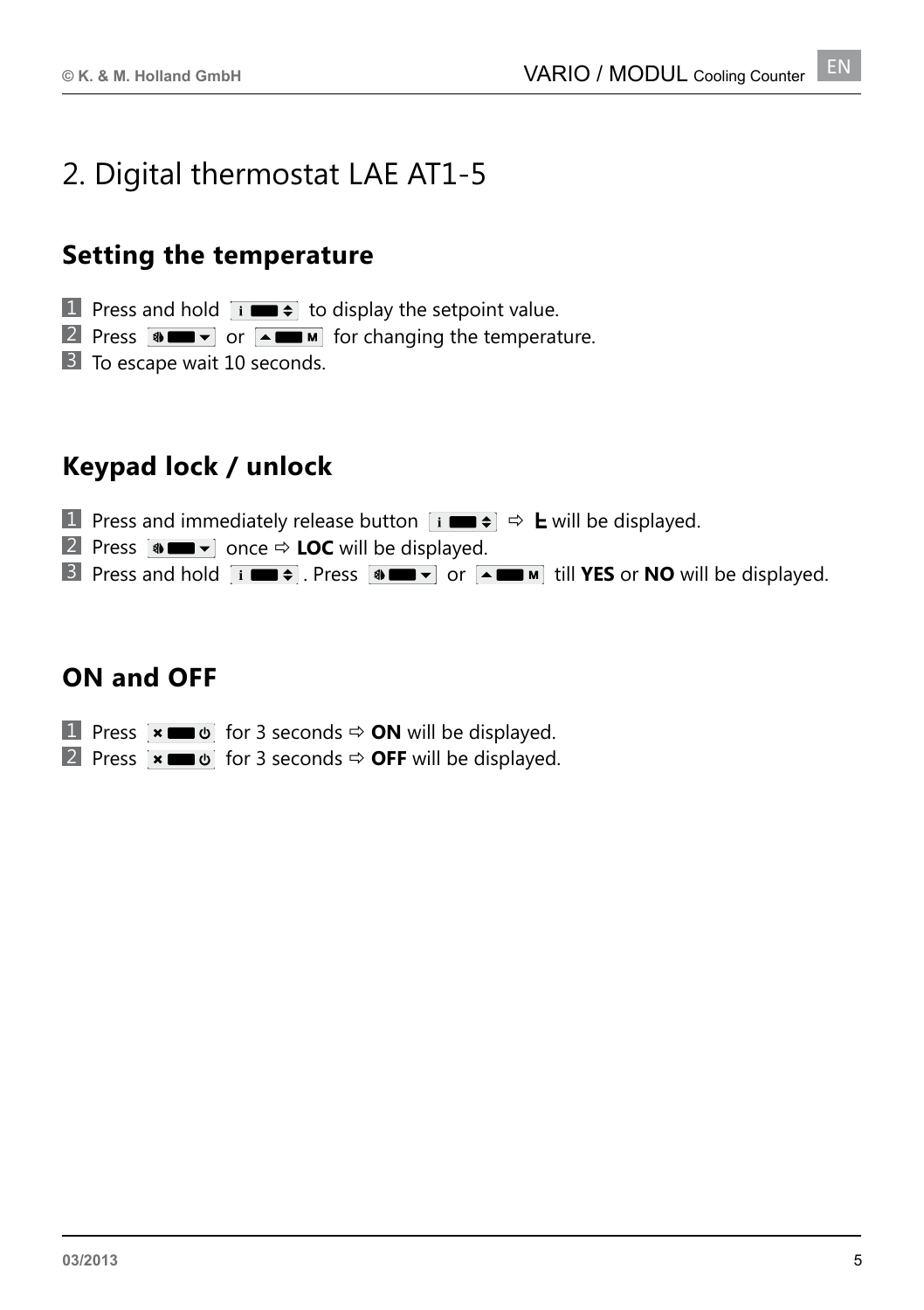#### 2. Digital thermostat LAE AT1-5

#### **Setting the temperature**

**1** Press and hold  $\overrightarrow{I}$  **to** display the setpoint value.

2 Press  $\bullet$   $\bullet$   $\bullet$  or  $\bullet$   $\bullet$   $\bullet$  for changing the temperature.

3 To escape wait 10 seconds.

#### **Keypad lock / unlock**

**1** Press and immediately release button  $\vec{v}$   $\vec{v}$   $\Rightarrow$  **L** will be displayed.

**2** Press  $\bullet$  **If**  $\bullet$  once  $\Rightarrow$  **LOC** will be displayed.

**3** Press and hold  $\overrightarrow{i}$  **Press**  $\overrightarrow{a}$  **Press**  $\overrightarrow{a}$  **Press** or **NO** will be displayed.

#### **ON and OFF**

**1** Press  $\mathbf{\times}$   $\mathbf{=}\ \mathbf{\omega}$  for 3 seconds  $\Rightarrow$  **ON** will be displayed.

**2** Press  $\overline{\bullet}$  **Ex Exc**  $\bullet$  for 3 seconds  $\Rightarrow$  **OFF** will be displayed.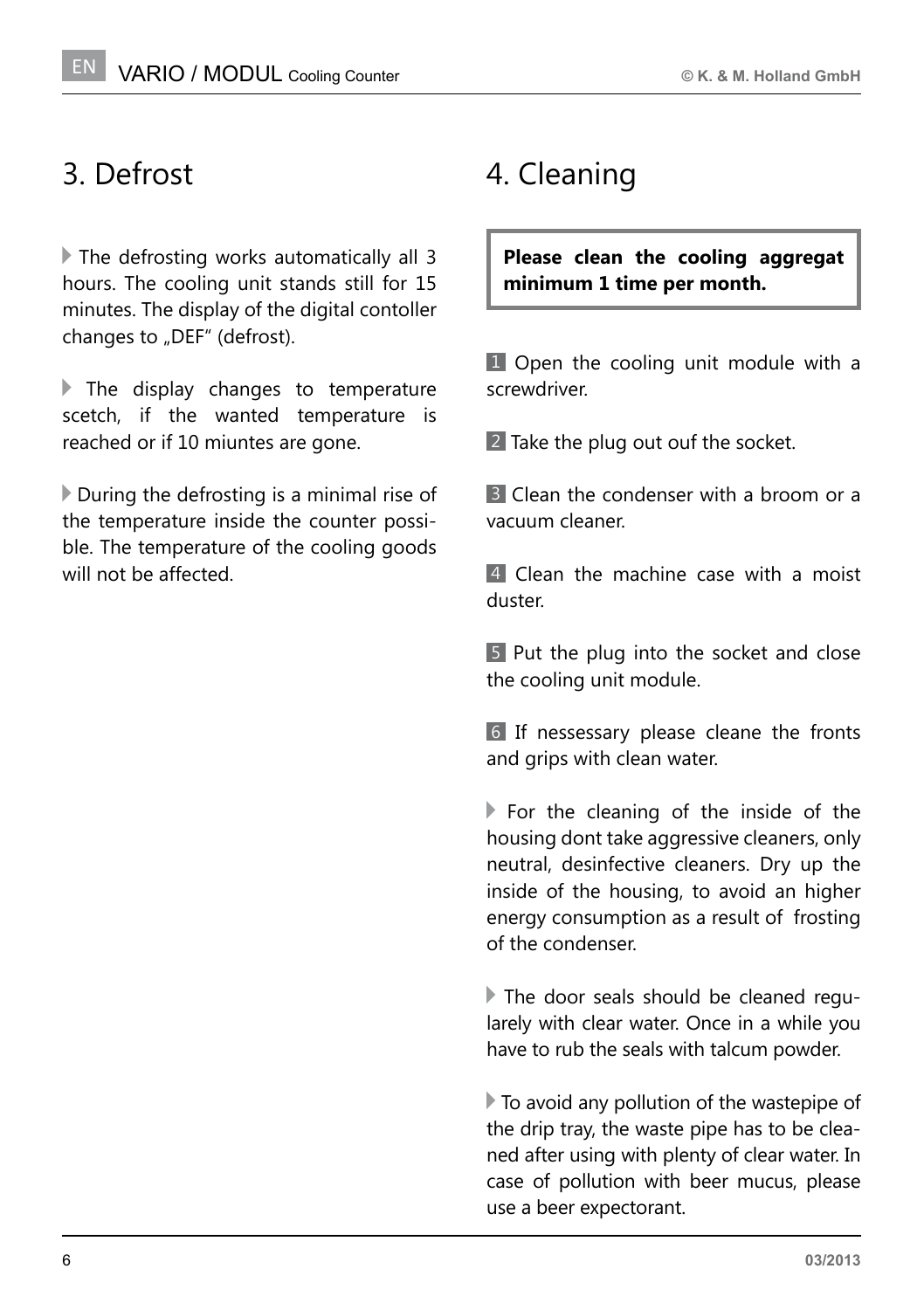#### 3. Defrost

 The defrosting works automatically all 3 hours. The cooling unit stands still for 15 minutes. The display of the digital contoller changes to "DEF" (defrost).

The display changes to temperature scetch, if the wanted temperature is reached or if 10 miuntes are gone.

 $\triangleright$  During the defrosting is a minimal rise of the temperature inside the counter possible. The temperature of the cooling goods will not be affected.

## 4. Cleaning

**Please clean the cooling aggregat minimum 1 time per month.**

1 Open the cooling unit module with a screwdriver.

2 Take the plug out ouf the socket.

3 Clean the condenser with a broom or a vacuum cleaner.

4 Clean the machine case with a moist duster.

5 Put the plug into the socket and close the cooling unit module.

6 If nessessary please cleane the fronts and grips with clean water.

For the cleaning of the inside of the housing dont take aggressive cleaners, only neutral, desinfective cleaners. Dry up the inside of the housing, to avoid an higher energy consumption as a result of frosting of the condenser.

 The door seals should be cleaned regularely with clear water. Once in a while you have to rub the seals with talcum powder.

 To avoid any pollution of the wastepipe of the drip tray, the waste pipe has to be cleaned after using with plenty of clear water. In case of pollution with beer mucus, please use a beer expectorant.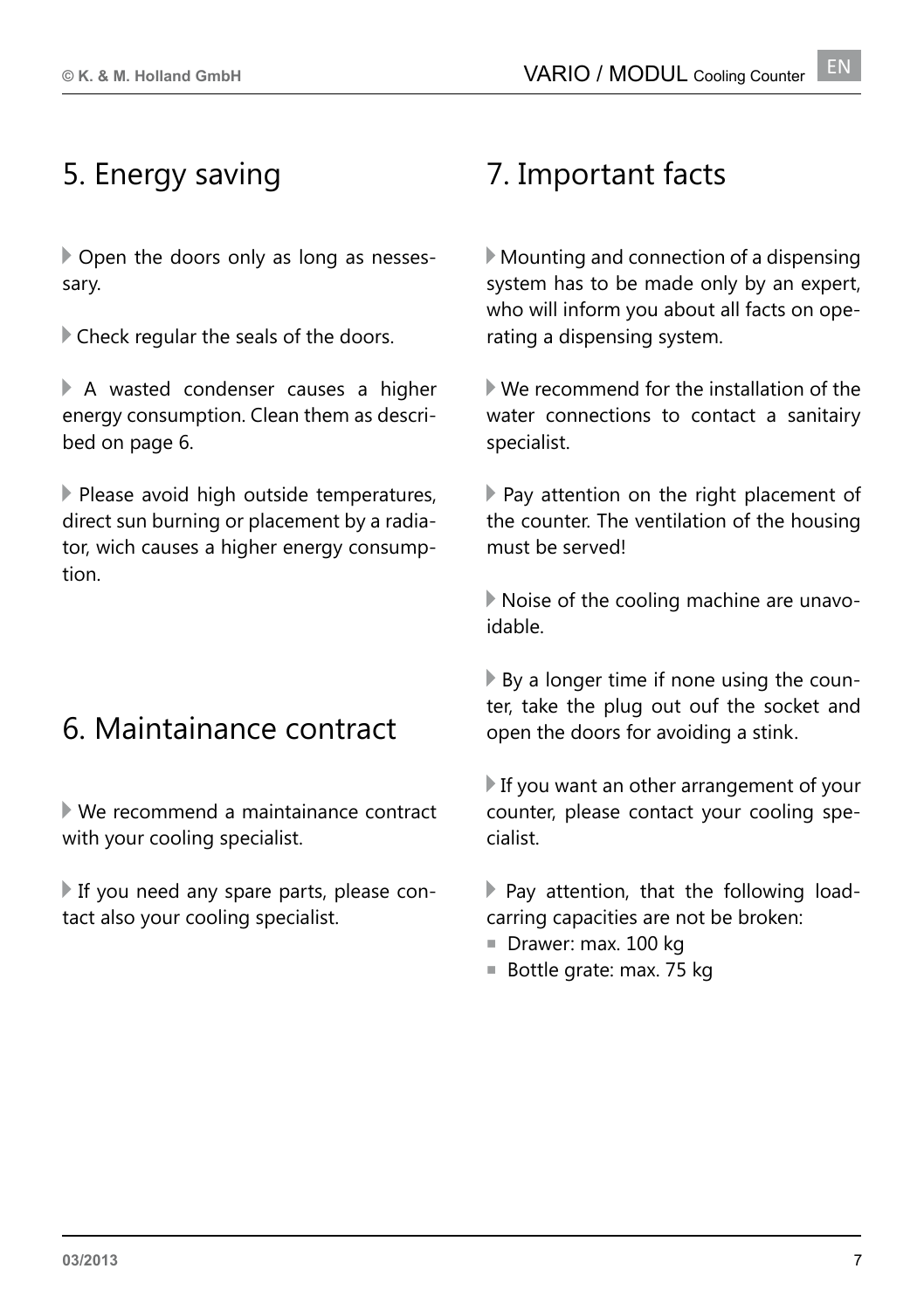#### 5. Energy saving

 Open the doors only as long as nessessary.

Check regular the seals of the doors.

 A wasted condenser causes a higher energy consumption. Clean them as described on page 6.

Please avoid high outside temperatures, direct sun burning or placement by a radiator, wich causes a higher energy consumption.

## 6. Maintainance contract

 We recommend a maintainance contract with your cooling specialist.

 If you need any spare parts, please contact also your cooling specialist.

#### 7. Important facts

 Mounting and connection of a dispensing system has to be made only by an expert, who will inform you about all facts on operating a dispensing system.

 We recommend for the installation of the water connections to contact a sanitairy specialist.

 Pay attention on the right placement of the counter. The ventilation of the housing must be served!

 Noise of the cooling machine are unavoidable.

 By a longer time if none using the counter, take the plug out ouf the socket and open the doors for avoiding a stink.

 If you want an other arrangement of your counter, please contact your cooling specialist.

 $\blacktriangleright$  Pay attention, that the following loadcarring capacities are not be broken:

- Drawer: max. 100 kg
- Bottle grate: max. 75 kg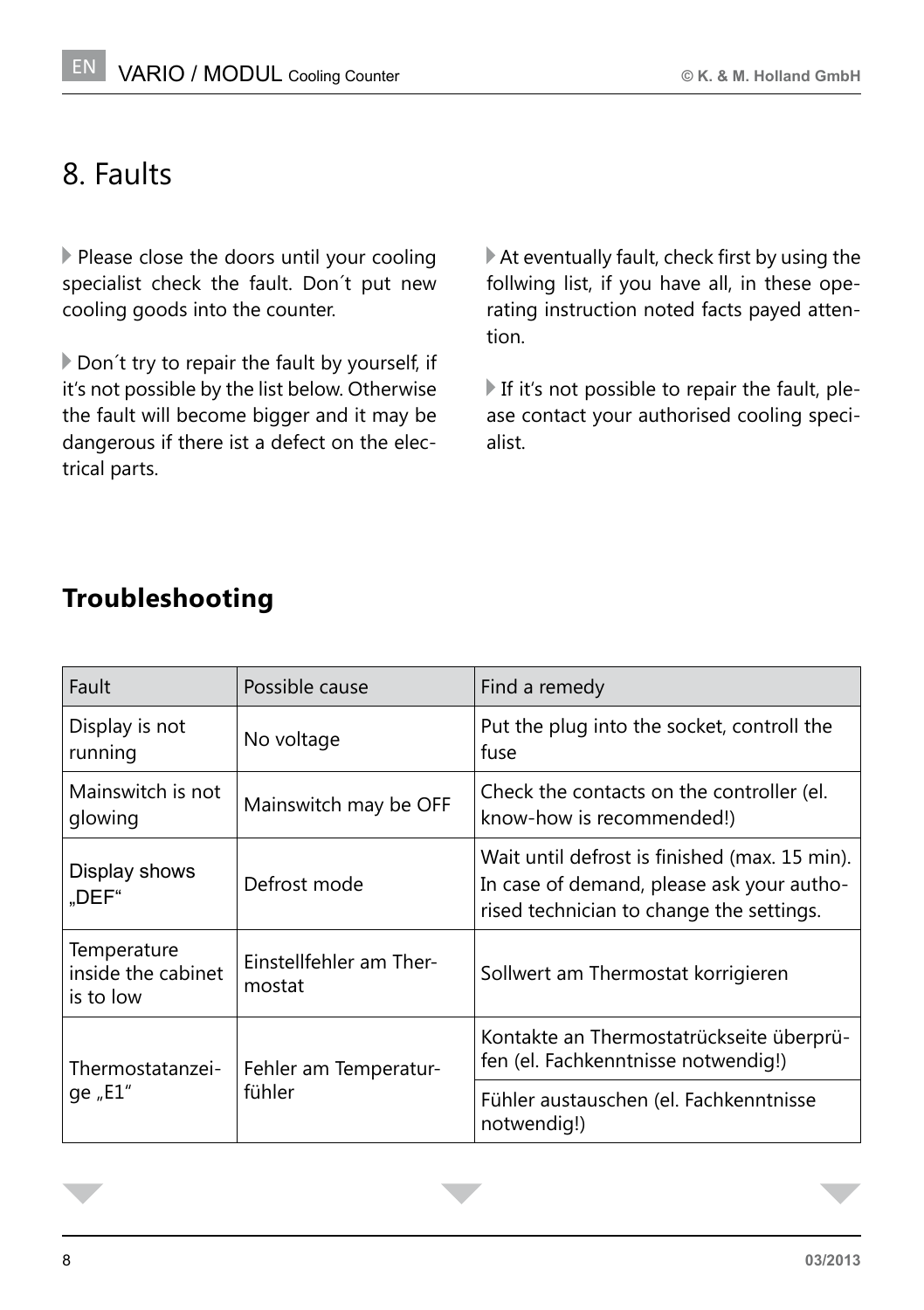#### 8. Faults

Please close the doors until your cooling specialist check the fault. Don´t put new cooling goods into the counter.

Don't try to repair the fault by yourself, if it's not possible by the list below. Otherwise the fault will become bigger and it may be dangerous if there ist a defect on the electrical parts.

 At eventually fault, check first by using the follwing list, if you have all, in these operating instruction noted facts payed attention.

If it's not possible to repair the fault, please contact your authorised cooling specialist.

| Fault                                          | Possible cause                    | Find a remedy                                                                                                                          |
|------------------------------------------------|-----------------------------------|----------------------------------------------------------------------------------------------------------------------------------------|
| Display is not<br>running                      | No voltage                        | Put the plug into the socket, controll the<br>fuse                                                                                     |
| Mainswitch is not<br>glowing                   | Mainswitch may be OFF             | Check the contacts on the controller (el.<br>know-how is recommended!)                                                                 |
| Display shows<br>"DEF"                         | Defrost mode                      | Wait until defrost is finished (max. 15 min).<br>In case of demand, please ask your autho-<br>rised technician to change the settings. |
| Temperature<br>inside the cabinet<br>is to low | Einstellfehler am Ther-<br>mostat | Sollwert am Thermostat korrigieren                                                                                                     |
| Thermostatanzei-<br>qe "E1"                    | Fehler am Temperatur-<br>fühler   | Kontakte an Thermostatrückseite überprü-<br>fen (el. Fachkenntnisse notwendig!)                                                        |
|                                                |                                   | Fühler austauschen (el. Fachkenntnisse<br>notwendig!)                                                                                  |

#### **Troubleshooting**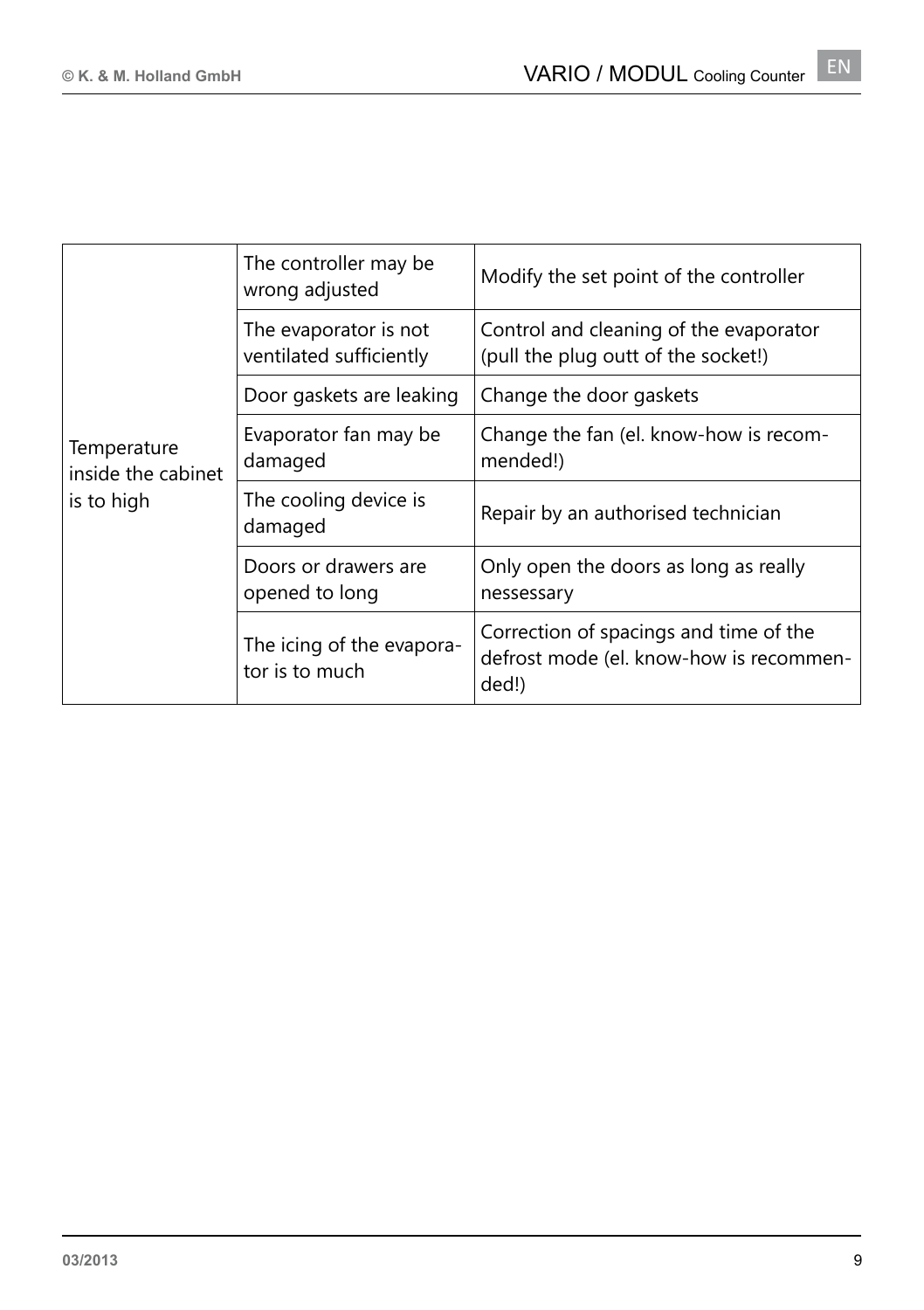| Temperature<br>inside the cabinet<br>is to high | The controller may be<br>wrong adjusted          | Modify the set point of the controller                                                     |
|-------------------------------------------------|--------------------------------------------------|--------------------------------------------------------------------------------------------|
|                                                 | The evaporator is not<br>ventilated sufficiently | Control and cleaning of the evaporator<br>(pull the plug outt of the socket!)              |
|                                                 | Door gaskets are leaking                         | Change the door gaskets                                                                    |
|                                                 | Evaporator fan may be<br>damaged                 | Change the fan (el. know-how is recom-<br>mended!)                                         |
|                                                 | The cooling device is<br>damaged                 | Repair by an authorised technician                                                         |
|                                                 | Doors or drawers are<br>opened to long           | Only open the doors as long as really<br>nessessary                                        |
|                                                 | The icing of the evapora-<br>tor is to much      | Correction of spacings and time of the<br>defrost mode (el. know-how is recommen-<br>ded!) |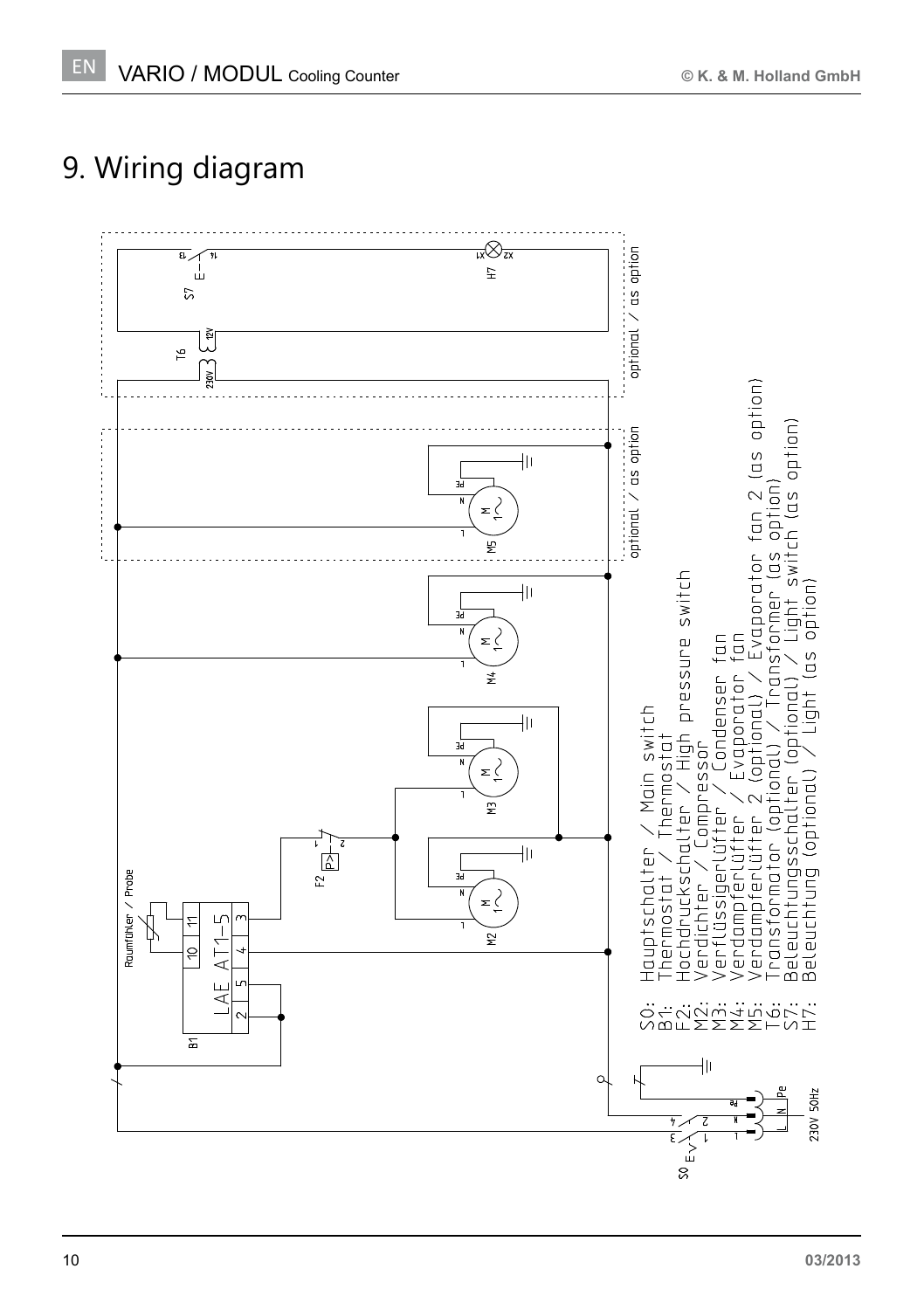## 9. Wiring diagram

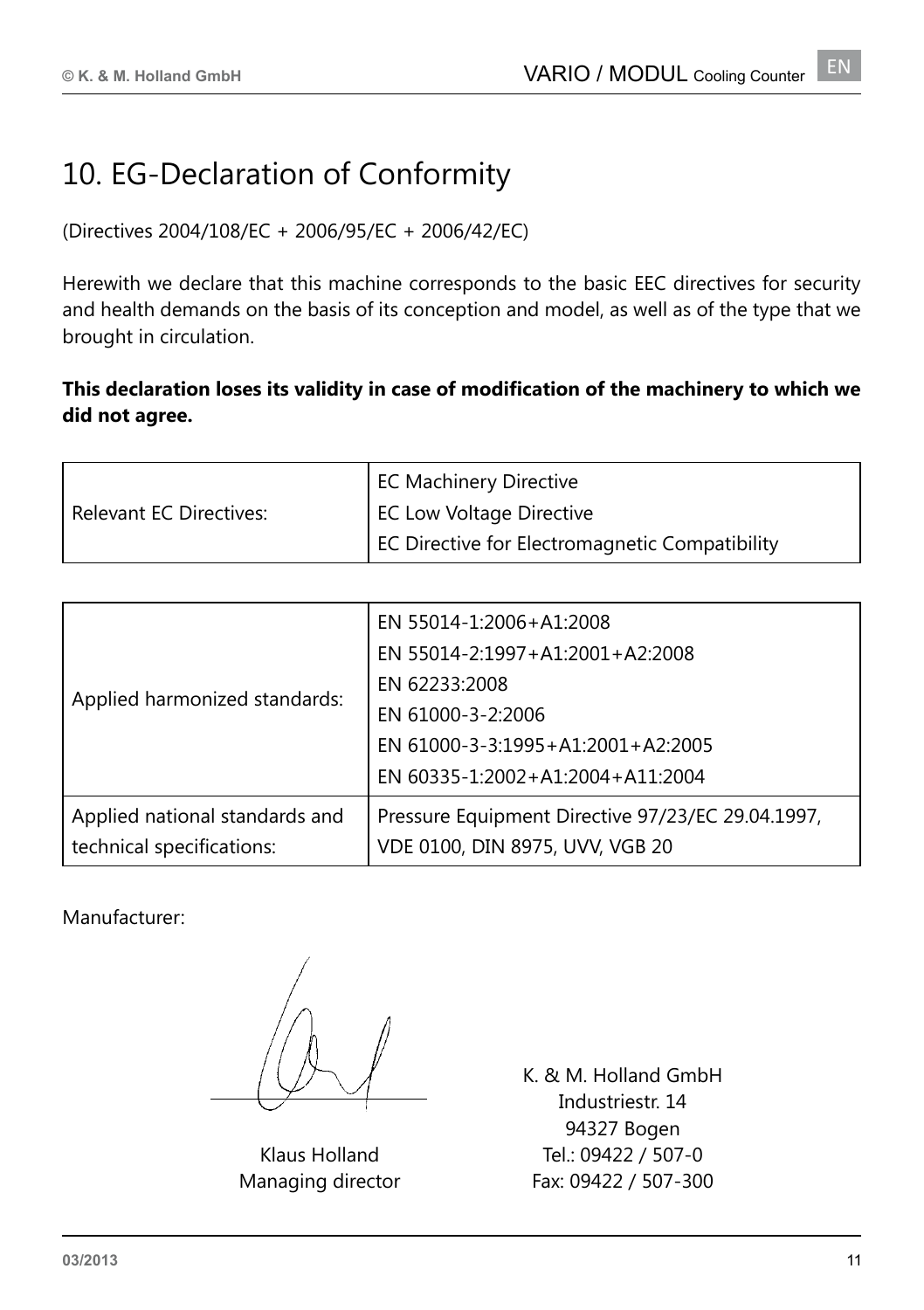## 10. EG-Declaration of Conformity

(Directives 2004/108/EC + 2006/95/EC + 2006/42/EC)

Herewith we declare that this machine corresponds to the basic EEC directives for security and health demands on the basis of its conception and model, as well as of the type that we brought in circulation.

#### **This declaration loses its validity in case of modification of the machinery to which we did not agree.**

|                                | <b>EC Machinery Directive</b>                  |
|--------------------------------|------------------------------------------------|
| <b>Relevant EC Directives:</b> | <b>EC Low Voltage Directive</b>                |
|                                | EC Directive for Electromagnetic Compatibility |

| EN 55014-1:2006+A1:2008<br>EN 55014-2:1997+A1:2001+A2:2008<br>EN 62233:2008<br>EN 61000-3-2:2006<br>EN 61000-3-3:1995+A1:2001+A2:2005<br>EN 60335-1:2002+A1:2004+A11:2004 |
|---------------------------------------------------------------------------------------------------------------------------------------------------------------------------|
| Pressure Equipment Directive 97/23/EC 29.04.1997,<br>VDE 0100, DIN 8975, UVV, VGB 20                                                                                      |
|                                                                                                                                                                           |

Manufacturer:

Klaus Holland Managing director

K. & M. Holland GmbH Industriestr. 14 94327 Bogen Tel.: 09422 / 507-0 Fax: 09422 / 507-300